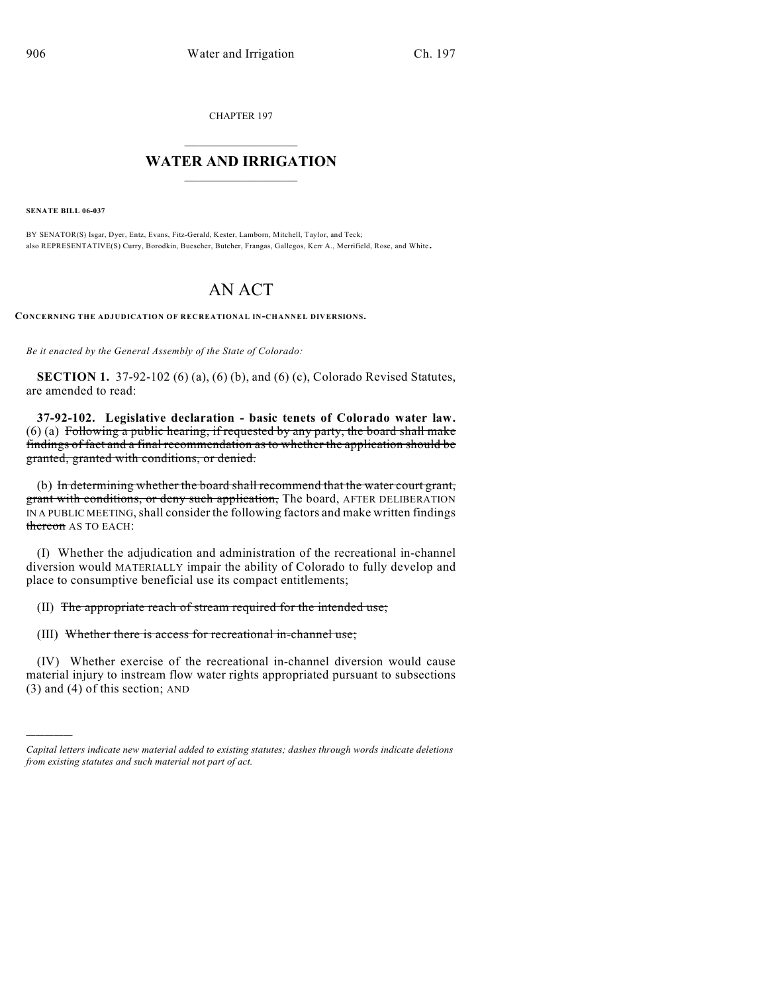CHAPTER 197

## $\mathcal{L}_\text{max}$  . The set of the set of the set of the set of the set of the set of the set of the set of the set of the set of the set of the set of the set of the set of the set of the set of the set of the set of the set **WATER AND IRRIGATION**  $\_$   $\_$

**SENATE BILL 06-037**

)))))

BY SENATOR(S) Isgar, Dyer, Entz, Evans, Fitz-Gerald, Kester, Lamborn, Mitchell, Taylor, and Teck; also REPRESENTATIVE(S) Curry, Borodkin, Buescher, Butcher, Frangas, Gallegos, Kerr A., Merrifield, Rose, and White.

# AN ACT

**CONCERNING THE ADJUDICATION OF RECREATIONAL IN-CHANNEL DIVERSIONS.**

*Be it enacted by the General Assembly of the State of Colorado:*

**SECTION 1.** 37-92-102 (6) (a), (6) (b), and (6) (c), Colorado Revised Statutes, are amended to read:

**37-92-102. Legislative declaration - basic tenets of Colorado water law.** (6) (a) Following a public hearing, if requested by any party, the board shall make findings of fact and a final recommendation as to whether the application should be granted, granted with conditions, or denied.

(b) In determining whether the board shall recommend that the water court grant, grant with conditions, or deny such application, The board, AFTER DELIBERATION IN A PUBLIC MEETING, shall consider the following factors and make written findings thereon AS TO EACH:

(I) Whether the adjudication and administration of the recreational in-channel diversion would MATERIALLY impair the ability of Colorado to fully develop and place to consumptive beneficial use its compact entitlements;

#### (II) The appropriate reach of stream required for the intended use;

### (III) Whether there is access for recreational in-channel use;

(IV) Whether exercise of the recreational in-channel diversion would cause material injury to instream flow water rights appropriated pursuant to subsections (3) and (4) of this section; AND

*Capital letters indicate new material added to existing statutes; dashes through words indicate deletions from existing statutes and such material not part of act.*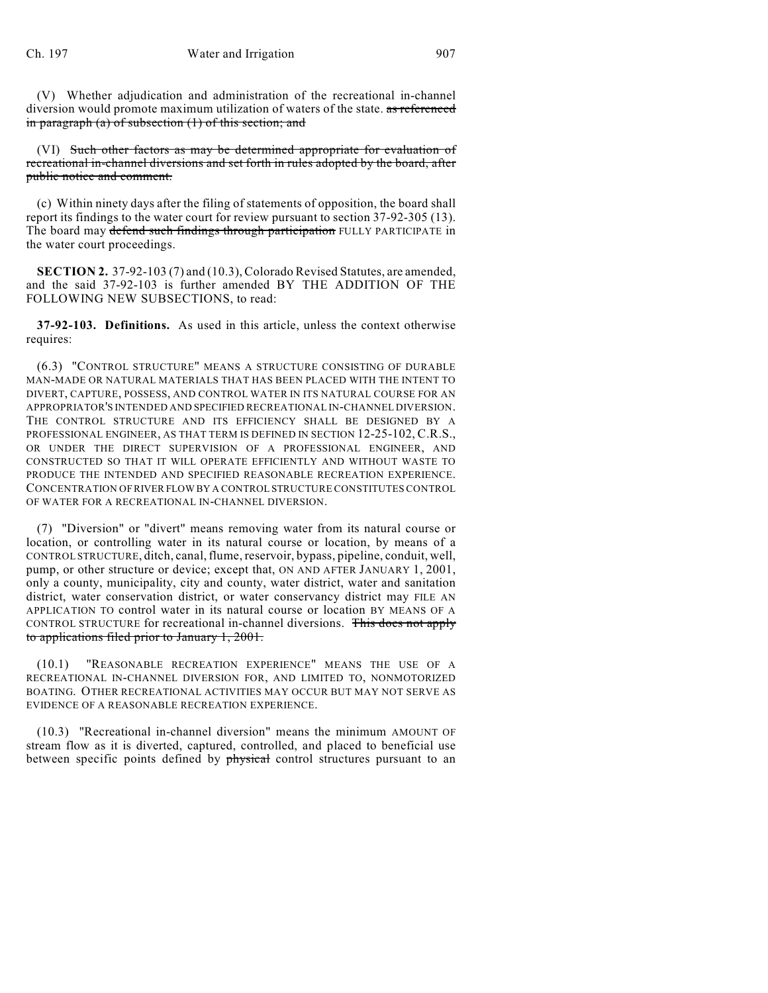(V) Whether adjudication and administration of the recreational in-channel diversion would promote maximum utilization of waters of the state. as referenced in paragraph (a) of subsection (1) of this section; and

(VI) Such other factors as may be determined appropriate for evaluation of recreational in-channel diversions and set forth in rules adopted by the board, after public notice and comment.

(c) Within ninety days after the filing of statements of opposition, the board shall report its findings to the water court for review pursuant to section 37-92-305 (13). The board may defend such findings through participation FULLY PARTICIPATE in the water court proceedings.

**SECTION 2.** 37-92-103 (7) and (10.3), Colorado Revised Statutes, are amended, and the said 37-92-103 is further amended BY THE ADDITION OF THE FOLLOWING NEW SUBSECTIONS, to read:

**37-92-103. Definitions.** As used in this article, unless the context otherwise requires:

(6.3) "CONTROL STRUCTURE" MEANS A STRUCTURE CONSISTING OF DURABLE MAN-MADE OR NATURAL MATERIALS THAT HAS BEEN PLACED WITH THE INTENT TO DIVERT, CAPTURE, POSSESS, AND CONTROL WATER IN ITS NATURAL COURSE FOR AN APPROPRIATOR'S INTENDED AND SPECIFIED RECREATIONAL IN-CHANNEL DIVERSION. THE CONTROL STRUCTURE AND ITS EFFICIENCY SHALL BE DESIGNED BY A PROFESSIONAL ENGINEER, AS THAT TERM IS DEFINED IN SECTION 12-25-102, C.R.S., OR UNDER THE DIRECT SUPERVISION OF A PROFESSIONAL ENGINEER, AND CONSTRUCTED SO THAT IT WILL OPERATE EFFICIENTLY AND WITHOUT WASTE TO PRODUCE THE INTENDED AND SPECIFIED REASONABLE RECREATION EXPERIENCE. CONCENTRATION OF RIVER FLOW BY A CONTROL STRUCTURE CONSTITUTES CONTROL OF WATER FOR A RECREATIONAL IN-CHANNEL DIVERSION.

(7) "Diversion" or "divert" means removing water from its natural course or location, or controlling water in its natural course or location, by means of a CONTROL STRUCTURE, ditch, canal, flume, reservoir, bypass, pipeline, conduit, well, pump, or other structure or device; except that, ON AND AFTER JANUARY 1, 2001, only a county, municipality, city and county, water district, water and sanitation district, water conservation district, or water conservancy district may FILE AN APPLICATION TO control water in its natural course or location BY MEANS OF A CONTROL STRUCTURE for recreational in-channel diversions. This does not apply to applications filed prior to January 1, 2001.

(10.1) "REASONABLE RECREATION EXPERIENCE" MEANS THE USE OF A RECREATIONAL IN-CHANNEL DIVERSION FOR, AND LIMITED TO, NONMOTORIZED BOATING. OTHER RECREATIONAL ACTIVITIES MAY OCCUR BUT MAY NOT SERVE AS EVIDENCE OF A REASONABLE RECREATION EXPERIENCE.

(10.3) "Recreational in-channel diversion" means the minimum AMOUNT OF stream flow as it is diverted, captured, controlled, and placed to beneficial use between specific points defined by physical control structures pursuant to an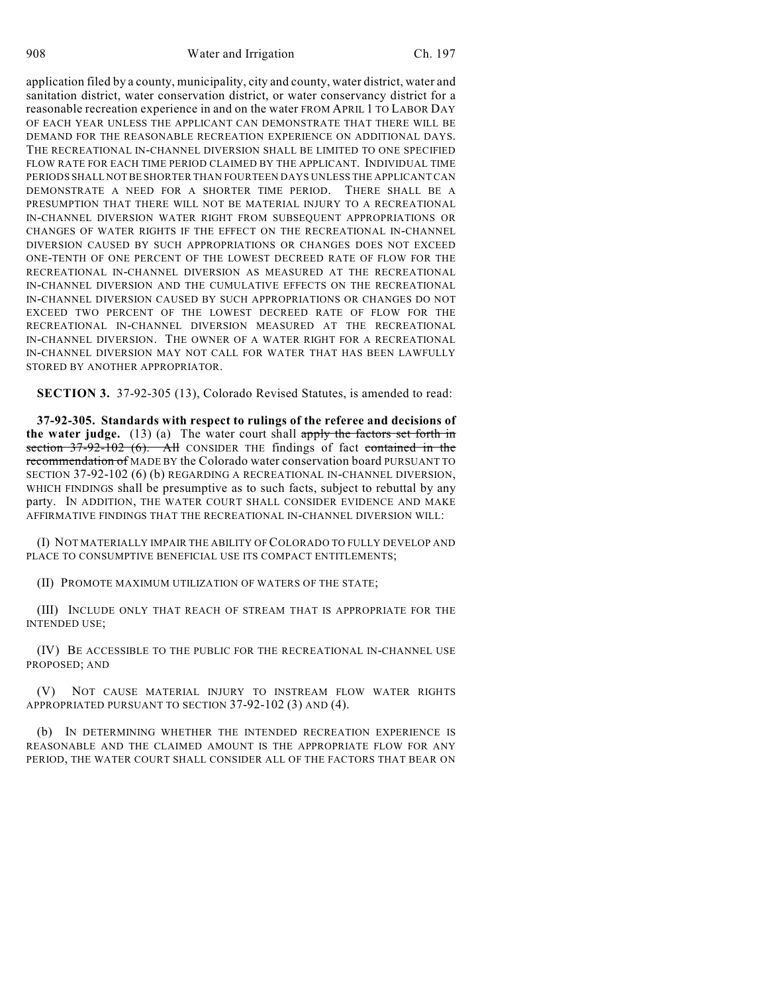908 Water and Irrigation Ch. 197

application filed by a county, municipality, city and county, water district, water and sanitation district, water conservation district, or water conservancy district for a reasonable recreation experience in and on the water FROM APRIL 1 TO LABOR DAY OF EACH YEAR UNLESS THE APPLICANT CAN DEMONSTRATE THAT THERE WILL BE DEMAND FOR THE REASONABLE RECREATION EXPERIENCE ON ADDITIONAL DAYS. THE RECREATIONAL IN-CHANNEL DIVERSION SHALL BE LIMITED TO ONE SPECIFIED FLOW RATE FOR EACH TIME PERIOD CLAIMED BY THE APPLICANT. INDIVIDUAL TIME PERIODS SHALL NOT BE SHORTER THAN FOURTEEN DAYS UNLESS THE APPLICANT CAN DEMONSTRATE A NEED FOR A SHORTER TIME PERIOD. THERE SHALL BE A PRESUMPTION THAT THERE WILL NOT BE MATERIAL INJURY TO A RECREATIONAL IN-CHANNEL DIVERSION WATER RIGHT FROM SUBSEQUENT APPROPRIATIONS OR CHANGES OF WATER RIGHTS IF THE EFFECT ON THE RECREATIONAL IN-CHANNEL DIVERSION CAUSED BY SUCH APPROPRIATIONS OR CHANGES DOES NOT EXCEED ONE-TENTH OF ONE PERCENT OF THE LOWEST DECREED RATE OF FLOW FOR THE RECREATIONAL IN-CHANNEL DIVERSION AS MEASURED AT THE RECREATIONAL IN-CHANNEL DIVERSION AND THE CUMULATIVE EFFECTS ON THE RECREATIONAL IN-CHANNEL DIVERSION CAUSED BY SUCH APPROPRIATIONS OR CHANGES DO NOT EXCEED TWO PERCENT OF THE LOWEST DECREED RATE OF FLOW FOR THE RECREATIONAL IN-CHANNEL DIVERSION MEASURED AT THE RECREATIONAL IN-CHANNEL DIVERSION. THE OWNER OF A WATER RIGHT FOR A RECREATIONAL IN-CHANNEL DIVERSION MAY NOT CALL FOR WATER THAT HAS BEEN LAWFULLY STORED BY ANOTHER APPROPRIATOR.

**SECTION 3.** 37-92-305 (13), Colorado Revised Statutes, is amended to read:

**37-92-305. Standards with respect to rulings of the referee and decisions of the water judge.** (13) (a) The water court shall apply the factors set forth in section 37-92-102 (6). All CONSIDER THE findings of fact contained in the recommendation of MADE BY the Colorado water conservation board PURSUANT TO SECTION 37-92-102 (6) (b) REGARDING A RECREATIONAL IN-CHANNEL DIVERSION, WHICH FINDINGS shall be presumptive as to such facts, subject to rebuttal by any party. IN ADDITION, THE WATER COURT SHALL CONSIDER EVIDENCE AND MAKE AFFIRMATIVE FINDINGS THAT THE RECREATIONAL IN-CHANNEL DIVERSION WILL:

(I) NOT MATERIALLY IMPAIR THE ABILITY OF COLORADO TO FULLY DEVELOP AND PLACE TO CONSUMPTIVE BENEFICIAL USE ITS COMPACT ENTITLEMENTS;

(II) PROMOTE MAXIMUM UTILIZATION OF WATERS OF THE STATE;

(III) INCLUDE ONLY THAT REACH OF STREAM THAT IS APPROPRIATE FOR THE INTENDED USE;

(IV) BE ACCESSIBLE TO THE PUBLIC FOR THE RECREATIONAL IN-CHANNEL USE PROPOSED; AND

(V) NOT CAUSE MATERIAL INJURY TO INSTREAM FLOW WATER RIGHTS APPROPRIATED PURSUANT TO SECTION 37-92-102 (3) AND (4).

(b) IN DETERMINING WHETHER THE INTENDED RECREATION EXPERIENCE IS REASONABLE AND THE CLAIMED AMOUNT IS THE APPROPRIATE FLOW FOR ANY PERIOD, THE WATER COURT SHALL CONSIDER ALL OF THE FACTORS THAT BEAR ON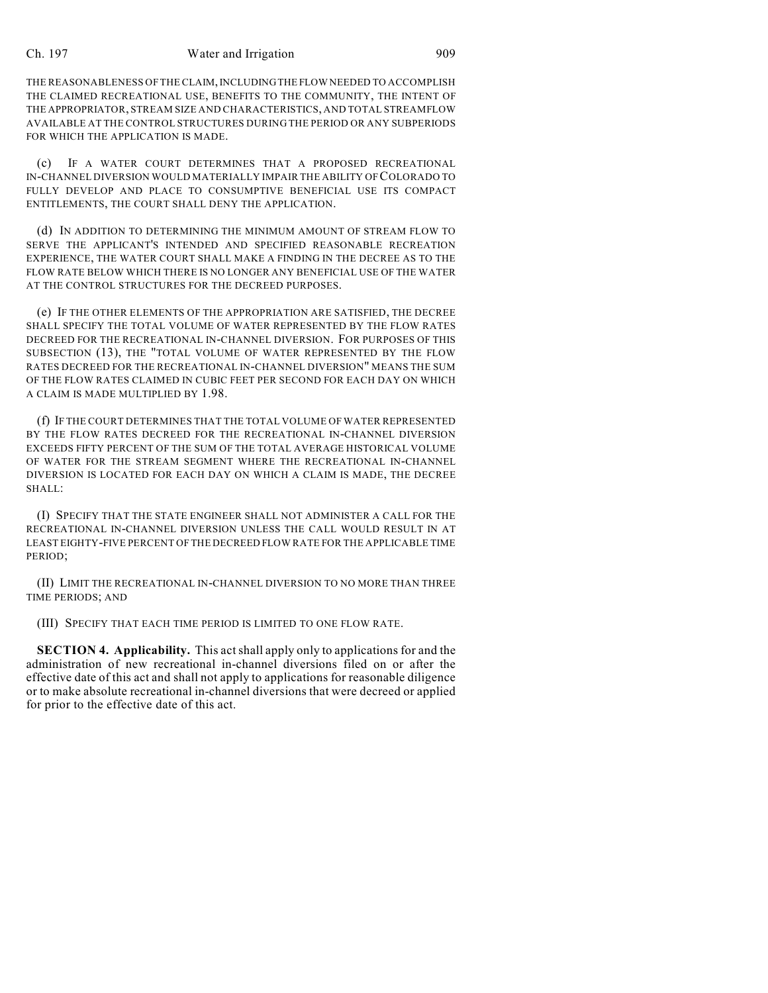#### Ch. 197 Water and Irrigation 909

THE REASONABLENESS OF THE CLAIM, INCLUDING THE FLOW NEEDED TO ACCOMPLISH THE CLAIMED RECREATIONAL USE, BENEFITS TO THE COMMUNITY, THE INTENT OF THE APPROPRIATOR, STREAM SIZE AND CHARACTERISTICS, AND TOTAL STREAMFLOW AVAILABLE AT THE CONTROL STRUCTURES DURING THE PERIOD OR ANY SUBPERIODS FOR WHICH THE APPLICATION IS MADE.

(c) IF A WATER COURT DETERMINES THAT A PROPOSED RECREATIONAL IN-CHANNEL DIVERSION WOULD MATERIALLY IMPAIR THE ABILITY OF COLORADO TO FULLY DEVELOP AND PLACE TO CONSUMPTIVE BENEFICIAL USE ITS COMPACT ENTITLEMENTS, THE COURT SHALL DENY THE APPLICATION.

(d) IN ADDITION TO DETERMINING THE MINIMUM AMOUNT OF STREAM FLOW TO SERVE THE APPLICANT'S INTENDED AND SPECIFIED REASONABLE RECREATION EXPERIENCE, THE WATER COURT SHALL MAKE A FINDING IN THE DECREE AS TO THE FLOW RATE BELOW WHICH THERE IS NO LONGER ANY BENEFICIAL USE OF THE WATER AT THE CONTROL STRUCTURES FOR THE DECREED PURPOSES.

(e) IF THE OTHER ELEMENTS OF THE APPROPRIATION ARE SATISFIED, THE DECREE SHALL SPECIFY THE TOTAL VOLUME OF WATER REPRESENTED BY THE FLOW RATES DECREED FOR THE RECREATIONAL IN-CHANNEL DIVERSION. FOR PURPOSES OF THIS SUBSECTION (13), THE "TOTAL VOLUME OF WATER REPRESENTED BY THE FLOW RATES DECREED FOR THE RECREATIONAL IN-CHANNEL DIVERSION" MEANS THE SUM OF THE FLOW RATES CLAIMED IN CUBIC FEET PER SECOND FOR EACH DAY ON WHICH A CLAIM IS MADE MULTIPLIED BY 1.98.

(f) IF THE COURT DETERMINES THAT THE TOTAL VOLUME OF WATER REPRESENTED BY THE FLOW RATES DECREED FOR THE RECREATIONAL IN-CHANNEL DIVERSION EXCEEDS FIFTY PERCENT OF THE SUM OF THE TOTAL AVERAGE HISTORICAL VOLUME OF WATER FOR THE STREAM SEGMENT WHERE THE RECREATIONAL IN-CHANNEL DIVERSION IS LOCATED FOR EACH DAY ON WHICH A CLAIM IS MADE, THE DECREE SHALL:

(I) SPECIFY THAT THE STATE ENGINEER SHALL NOT ADMINISTER A CALL FOR THE RECREATIONAL IN-CHANNEL DIVERSION UNLESS THE CALL WOULD RESULT IN AT LEAST EIGHTY-FIVE PERCENT OF THE DECREED FLOW RATE FOR THE APPLICABLE TIME PERIOD;

(II) LIMIT THE RECREATIONAL IN-CHANNEL DIVERSION TO NO MORE THAN THREE TIME PERIODS; AND

(III) SPECIFY THAT EACH TIME PERIOD IS LIMITED TO ONE FLOW RATE.

**SECTION 4. Applicability.** This actshall apply only to applications for and the administration of new recreational in-channel diversions filed on or after the effective date of this act and shall not apply to applications for reasonable diligence or to make absolute recreational in-channel diversions that were decreed or applied for prior to the effective date of this act.